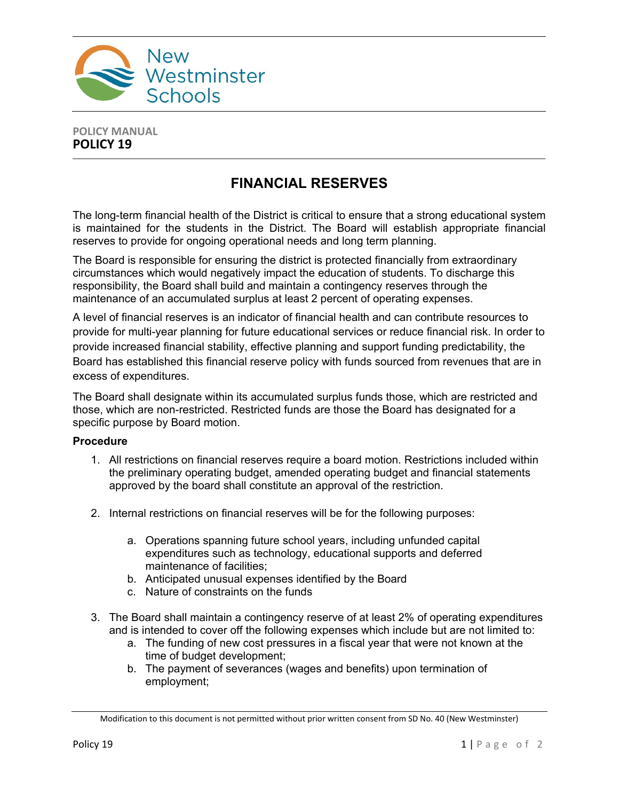

## **POLICY MANUAL POLICY 19**

## **FINANCIAL RESERVES**

The long-term financial health of the District is critical to ensure that a strong educational system is maintained for the students in the District. The Board will establish appropriate financial reserves to provide for ongoing operational needs and long term planning.

The Board is responsible for ensuring the district is protected financially from extraordinary circumstances which would negatively impact the education of students. To discharge this responsibility, the Board shall build and maintain a contingency reserves through the maintenance of an accumulated surplus at least 2 percent of operating expenses.

A level of financial reserves is an indicator of financial health and can contribute resources to provide for multi-year planning for future educational services or reduce financial risk. In order to provide increased financial stability, effective planning and support funding predictability, the Board has established this financial reserve policy with funds sourced from revenues that are in excess of expenditures.

The Board shall designate within its accumulated surplus funds those, which are restricted and those, which are non-restricted. Restricted funds are those the Board has designated for a specific purpose by Board motion.

## **Procedure**

- 1. All restrictions on financial reserves require a board motion. Restrictions included within the preliminary operating budget, amended operating budget and financial statements approved by the board shall constitute an approval of the restriction.
- 2. Internal restrictions on financial reserves will be for the following purposes:
	- a. Operations spanning future school years, including unfunded capital expenditures such as technology, educational supports and deferred maintenance of facilities;
	- b. Anticipated unusual expenses identified by the Board
	- c. Nature of constraints on the funds
- 3. The Board shall maintain a contingency reserve of at least 2% of operating expenditures and is intended to cover off the following expenses which include but are not limited to:
	- a. The funding of new cost pressures in a fiscal year that were not known at the time of budget development;
	- b. The payment of severances (wages and benefits) upon termination of employment;

Modification to this document is not permitted without prior written consent from SD No. 40 (New Westminster)